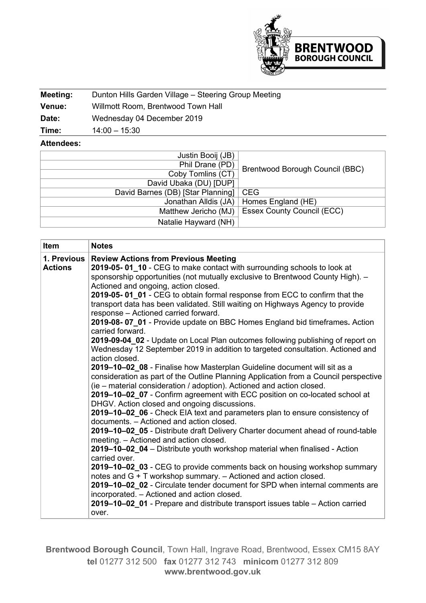

| Meeting:      | Dunton Hills Garden Village - Steering Group Meeting |
|---------------|------------------------------------------------------|
| <b>Venue:</b> | Willmott Room, Brentwood Town Hall                   |
| Date:         | Wednesday 04 December 2019                           |
| Time:         | $14:00 - 15:30$                                      |

## **Attendees:**

| Justin Booij (JB)                       |                                   |
|-----------------------------------------|-----------------------------------|
| Phil Drane (PD)                         |                                   |
| Coby Tomlins (CT)                       | Brentwood Borough Council (BBC)   |
| David Ubaka (DU) [DUP]                  |                                   |
| David Barnes (DB) [Star Planning]   CEG |                                   |
| Jonathan Alldis (JA)                    | Homes England (HE)                |
| Matthew Jericho (MJ)                    | <b>Essex County Council (ECC)</b> |
| Natalie Hayward (NH)                    |                                   |

| Item                                                                                                                    | <b>Notes</b>                                                                                                                                         |  |  |  |  |                                                                                 |
|-------------------------------------------------------------------------------------------------------------------------|------------------------------------------------------------------------------------------------------------------------------------------------------|--|--|--|--|---------------------------------------------------------------------------------|
| 1. Previous                                                                                                             | <b>Review Actions from Previous Meeting</b>                                                                                                          |  |  |  |  |                                                                                 |
| <b>Actions</b>                                                                                                          | 2019-05-01_10 - CEG to make contact with surrounding schools to look at                                                                              |  |  |  |  |                                                                                 |
|                                                                                                                         | sponsorship opportunities (not mutually exclusive to Brentwood County High). -                                                                       |  |  |  |  |                                                                                 |
|                                                                                                                         | Actioned and ongoing, action closed.                                                                                                                 |  |  |  |  |                                                                                 |
|                                                                                                                         | 2019-05-01_01 - CEG to obtain formal response from ECC to confirm that the                                                                           |  |  |  |  |                                                                                 |
|                                                                                                                         | transport data has been validated. Still waiting on Highways Agency to provide                                                                       |  |  |  |  |                                                                                 |
|                                                                                                                         | response - Actioned carried forward.                                                                                                                 |  |  |  |  |                                                                                 |
|                                                                                                                         | 2019-08-07_01 - Provide update on BBC Homes England bid timeframes. Action<br>carried forward.                                                       |  |  |  |  |                                                                                 |
|                                                                                                                         | 2019-09-04 02 - Update on Local Plan outcomes following publishing of report on                                                                      |  |  |  |  |                                                                                 |
|                                                                                                                         | Wednesday 12 September 2019 in addition to targeted consultation. Actioned and                                                                       |  |  |  |  |                                                                                 |
|                                                                                                                         | action closed.                                                                                                                                       |  |  |  |  |                                                                                 |
| 2019-10-02_08 - Finalise how Masterplan Guideline document will sit as a                                                |                                                                                                                                                      |  |  |  |  |                                                                                 |
|                                                                                                                         | consideration as part of the Outline Planning Application from a Council perspective                                                                 |  |  |  |  |                                                                                 |
|                                                                                                                         | (ie – material consideration / adoption). Actioned and action closed.<br>2019-10-02_07 - Confirm agreement with ECC position on co-located school at |  |  |  |  |                                                                                 |
| DHGV. Action closed and ongoing discussions.                                                                            |                                                                                                                                                      |  |  |  |  |                                                                                 |
| 2019-10-02_06 - Check EIA text and parameters plan to ensure consistency of<br>documents. - Actioned and action closed. |                                                                                                                                                      |  |  |  |  |                                                                                 |
|                                                                                                                         |                                                                                                                                                      |  |  |  |  | 2019-10-02_05 - Distribute draft Delivery Charter document ahead of round-table |
|                                                                                                                         | meeting. - Actioned and action closed.                                                                                                               |  |  |  |  |                                                                                 |
|                                                                                                                         | 2019-10-02_04 - Distribute youth workshop material when finalised - Action                                                                           |  |  |  |  |                                                                                 |
|                                                                                                                         | carried over.                                                                                                                                        |  |  |  |  |                                                                                 |
|                                                                                                                         | 2019–10–02_03 - CEG to provide comments back on housing workshop summary                                                                             |  |  |  |  |                                                                                 |
|                                                                                                                         | notes and G + T workshop summary. - Actioned and action closed.                                                                                      |  |  |  |  |                                                                                 |
|                                                                                                                         | 2019-10-02 02 - Circulate tender document for SPD when internal comments are                                                                         |  |  |  |  |                                                                                 |
|                                                                                                                         | incorporated. - Actioned and action closed.                                                                                                          |  |  |  |  |                                                                                 |
|                                                                                                                         | 2019–10–02_01 - Prepare and distribute transport issues table – Action carried                                                                       |  |  |  |  |                                                                                 |
|                                                                                                                         | over.                                                                                                                                                |  |  |  |  |                                                                                 |

**Brentwood Borough Council**, Town Hall, Ingrave Road, Brentwood, Essex CM15 8AY **tel** 01277 312 500 **fax** 01277 312 743 **minicom** 01277 312 809 **www.brentwood.gov.uk**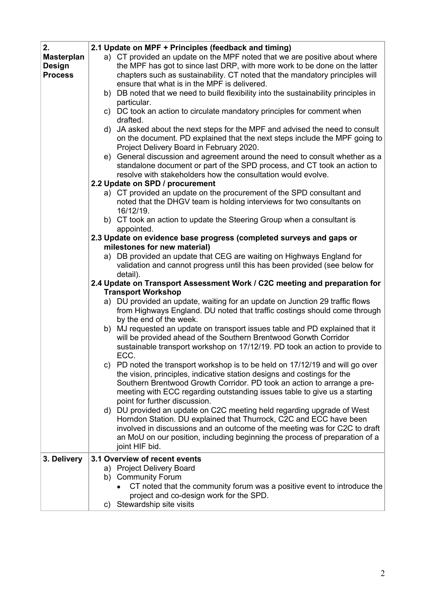| 2.                | 2.1 Update on MPF + Principles (feedback and timing)                                                                                     |  |  |  |  |
|-------------------|------------------------------------------------------------------------------------------------------------------------------------------|--|--|--|--|
| <b>Masterplan</b> | a) CT provided an update on the MPF noted that we are positive about where                                                               |  |  |  |  |
| <b>Design</b>     | the MPF has got to since last DRP, with more work to be done on the latter                                                               |  |  |  |  |
| <b>Process</b>    | chapters such as sustainability. CT noted that the mandatory principles will                                                             |  |  |  |  |
|                   | ensure that what is in the MPF is delivered.                                                                                             |  |  |  |  |
|                   | b) DB noted that we need to build flexibility into the sustainability principles in                                                      |  |  |  |  |
|                   | particular.                                                                                                                              |  |  |  |  |
|                   | c) DC took an action to circulate mandatory principles for comment when                                                                  |  |  |  |  |
|                   | drafted.                                                                                                                                 |  |  |  |  |
|                   | d) JA asked about the next steps for the MPF and advised the need to consult                                                             |  |  |  |  |
|                   | on the document. PD explained that the next steps include the MPF going to                                                               |  |  |  |  |
|                   | Project Delivery Board in February 2020.                                                                                                 |  |  |  |  |
|                   | e) General discussion and agreement around the need to consult whether as a                                                              |  |  |  |  |
|                   | standalone document or part of the SPD process, and CT took an action to<br>resolve with stakeholders how the consultation would evolve. |  |  |  |  |
|                   | 2.2 Update on SPD / procurement                                                                                                          |  |  |  |  |
|                   | a) CT provided an update on the procurement of the SPD consultant and                                                                    |  |  |  |  |
|                   | noted that the DHGV team is holding interviews for two consultants on                                                                    |  |  |  |  |
|                   | 16/12/19.                                                                                                                                |  |  |  |  |
|                   | b) CT took an action to update the Steering Group when a consultant is                                                                   |  |  |  |  |
|                   | appointed.                                                                                                                               |  |  |  |  |
|                   | 2.3 Update on evidence base progress (completed surveys and gaps or                                                                      |  |  |  |  |
|                   | milestones for new material)                                                                                                             |  |  |  |  |
|                   | a) DB provided an update that CEG are waiting on Highways England for                                                                    |  |  |  |  |
|                   | validation and cannot progress until this has been provided (see below for                                                               |  |  |  |  |
|                   | detail).                                                                                                                                 |  |  |  |  |
|                   | 2.4 Update on Transport Assessment Work / C2C meeting and preparation for<br><b>Transport Workshop</b>                                   |  |  |  |  |
|                   | a) DU provided an update, waiting for an update on Junction 29 traffic flows                                                             |  |  |  |  |
|                   | from Highways England. DU noted that traffic costings should come through                                                                |  |  |  |  |
|                   | by the end of the week.                                                                                                                  |  |  |  |  |
|                   | b) MJ requested an update on transport issues table and PD explained that it                                                             |  |  |  |  |
|                   | will be provided ahead of the Southern Brentwood Gorwth Corridor                                                                         |  |  |  |  |
|                   | sustainable transport workshop on 17/12/19. PD took an action to provide to<br>ECC.                                                      |  |  |  |  |
|                   | c) PD noted the transport workshop is to be held on 17/12/19 and will go over                                                            |  |  |  |  |
|                   | the vision, principles, indicative station designs and costings for the                                                                  |  |  |  |  |
|                   | Southern Brentwood Growth Corridor. PD took an action to arrange a pre-                                                                  |  |  |  |  |
|                   | meeting with ECC regarding outstanding issues table to give us a starting                                                                |  |  |  |  |
|                   | point for further discussion.                                                                                                            |  |  |  |  |
|                   | d) DU provided an update on C2C meeting held regarding upgrade of West                                                                   |  |  |  |  |
|                   | Horndon Station. DU explained that Thurrock, C2C and ECC have been                                                                       |  |  |  |  |
|                   | involved in discussions and an outcome of the meeting was for C2C to draft                                                               |  |  |  |  |
|                   | an MoU on our position, including beginning the process of preparation of a                                                              |  |  |  |  |
|                   | joint HIF bid.                                                                                                                           |  |  |  |  |
| 3. Delivery       | 3.1 Overview of recent events                                                                                                            |  |  |  |  |
|                   | a) Project Delivery Board                                                                                                                |  |  |  |  |
|                   | b) Community Forum                                                                                                                       |  |  |  |  |
|                   | CT noted that the community forum was a positive event to introduce the                                                                  |  |  |  |  |
|                   | project and co-design work for the SPD.                                                                                                  |  |  |  |  |
|                   | Stewardship site visits<br>C)                                                                                                            |  |  |  |  |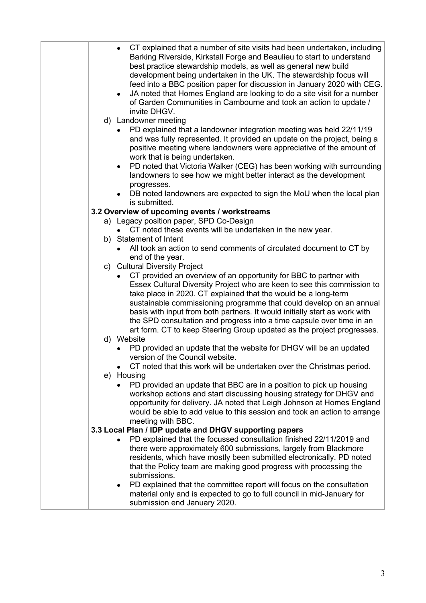| $\bullet$  | CT explained that a number of site visits had been undertaken, including<br>Barking Riverside, Kirkstall Forge and Beaulieu to start to understand<br>best practice stewardship models, as well as general new build<br>development being undertaken in the UK. The stewardship focus will<br>feed into a BBC position paper for discussion in January 2020 with CEG.<br>JA noted that Homes England are looking to do a site visit for a number<br>of Garden Communities in Cambourne and took an action to update /<br>invite DHGV. |
|------------|---------------------------------------------------------------------------------------------------------------------------------------------------------------------------------------------------------------------------------------------------------------------------------------------------------------------------------------------------------------------------------------------------------------------------------------------------------------------------------------------------------------------------------------|
|            | d) Landowner meeting                                                                                                                                                                                                                                                                                                                                                                                                                                                                                                                  |
|            | PD explained that a landowner integration meeting was held 22/11/19<br>and was fully represented. It provided an update on the project, being a<br>positive meeting where landowners were appreciative of the amount of<br>work that is being undertaken.                                                                                                                                                                                                                                                                             |
| $\bullet$  | PD noted that Victoria Walker (CEG) has been working with surrounding                                                                                                                                                                                                                                                                                                                                                                                                                                                                 |
|            | landowners to see how we might better interact as the development<br>progresses.                                                                                                                                                                                                                                                                                                                                                                                                                                                      |
|            | DB noted landowners are expected to sign the MoU when the local plan<br>is submitted.                                                                                                                                                                                                                                                                                                                                                                                                                                                 |
|            | 3.2 Overview of upcoming events / workstreams                                                                                                                                                                                                                                                                                                                                                                                                                                                                                         |
|            | a) Legacy position paper, SPD Co-Design                                                                                                                                                                                                                                                                                                                                                                                                                                                                                               |
|            | CT noted these events will be undertaken in the new year.                                                                                                                                                                                                                                                                                                                                                                                                                                                                             |
|            | b) Statement of Intent                                                                                                                                                                                                                                                                                                                                                                                                                                                                                                                |
|            | All took an action to send comments of circulated document to CT by                                                                                                                                                                                                                                                                                                                                                                                                                                                                   |
|            | end of the year.                                                                                                                                                                                                                                                                                                                                                                                                                                                                                                                      |
|            | c) Cultural Diversity Project                                                                                                                                                                                                                                                                                                                                                                                                                                                                                                         |
| d) Website | CT provided an overview of an opportunity for BBC to partner with<br>Essex Cultural Diversity Project who are keen to see this commission to<br>take place in 2020. CT explained that the would be a long-term<br>sustainable commissioning programme that could develop on an annual<br>basis with input from both partners. It would initially start as work with<br>the SPD consultation and progress into a time capsule over time in an<br>art form. CT to keep Steering Group updated as the project progresses.                |
|            | PD provided an update that the website for DHGV will be an updated                                                                                                                                                                                                                                                                                                                                                                                                                                                                    |
|            | version of the Council website.                                                                                                                                                                                                                                                                                                                                                                                                                                                                                                       |
|            | CT noted that this work will be undertaken over the Christmas period.                                                                                                                                                                                                                                                                                                                                                                                                                                                                 |
| e) Housing |                                                                                                                                                                                                                                                                                                                                                                                                                                                                                                                                       |
|            | PD provided an update that BBC are in a position to pick up housing<br>workshop actions and start discussing housing strategy for DHGV and<br>opportunity for delivery. JA noted that Leigh Johnson at Homes England<br>would be able to add value to this session and took an action to arrange<br>meeting with BBC.                                                                                                                                                                                                                 |
|            | 3.3 Local Plan / IDP update and DHGV supporting papers                                                                                                                                                                                                                                                                                                                                                                                                                                                                                |
|            | PD explained that the focussed consultation finished 22/11/2019 and                                                                                                                                                                                                                                                                                                                                                                                                                                                                   |
|            | there were approximately 600 submissions, largely from Blackmore                                                                                                                                                                                                                                                                                                                                                                                                                                                                      |
|            | residents, which have mostly been submitted electronically. PD noted                                                                                                                                                                                                                                                                                                                                                                                                                                                                  |
|            | that the Policy team are making good progress with processing the                                                                                                                                                                                                                                                                                                                                                                                                                                                                     |
|            | submissions.                                                                                                                                                                                                                                                                                                                                                                                                                                                                                                                          |
| ٠          | PD explained that the committee report will focus on the consultation<br>material only and is expected to go to full council in mid-January for<br>submission end January 2020.                                                                                                                                                                                                                                                                                                                                                       |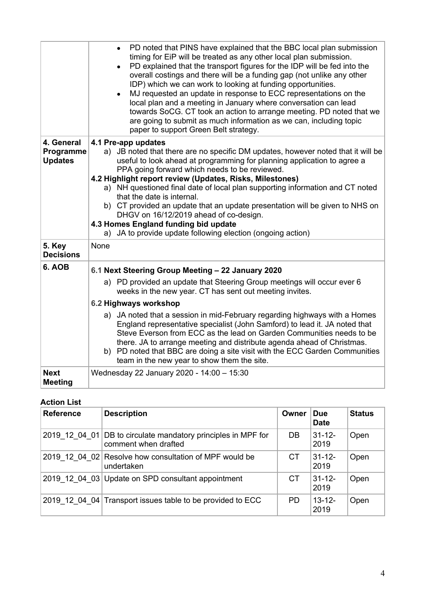|                                           | PD noted that PINS have explained that the BBC local plan submission<br>$\bullet$<br>timing for EiP will be treated as any other local plan submission.<br>PD explained that the transport figures for the IDP will be fed into the<br>$\bullet$<br>overall costings and there will be a funding gap (not unlike any other<br>IDP) which we can work to looking at funding opportunities.<br>MJ requested an update in response to ECC representations on the<br>local plan and a meeting in January where conversation can lead<br>towards SoCG. CT took an action to arrange meeting. PD noted that we<br>are going to submit as much information as we can, including topic<br>paper to support Green Belt strategy. |
|-------------------------------------------|-------------------------------------------------------------------------------------------------------------------------------------------------------------------------------------------------------------------------------------------------------------------------------------------------------------------------------------------------------------------------------------------------------------------------------------------------------------------------------------------------------------------------------------------------------------------------------------------------------------------------------------------------------------------------------------------------------------------------|
| 4. General<br>Programme<br><b>Updates</b> | 4.1 Pre-app updates<br>a) JB noted that there are no specific DM updates, however noted that it will be<br>useful to look ahead at programming for planning application to agree a<br>PPA going forward which needs to be reviewed.<br>4.2 Highlight report review (Updates, Risks, Milestones)<br>a) NH questioned final date of local plan supporting information and CT noted<br>that the date is internal.<br>b) CT provided an update that an update presentation will be given to NHS on<br>DHGV on 16/12/2019 ahead of co-design.<br>4.3 Homes England funding bid update<br>a) JA to provide update following election (ongoing action)                                                                         |
| 5. Key<br><b>Decisions</b>                | None                                                                                                                                                                                                                                                                                                                                                                                                                                                                                                                                                                                                                                                                                                                    |
| 6. AOB                                    | 6.1 Next Steering Group Meeting - 22 January 2020<br>a) PD provided an update that Steering Group meetings will occur ever 6<br>weeks in the new year. CT has sent out meeting invites.<br>6.2 Highways workshop<br>a) JA noted that a session in mid-February regarding highways with a Homes<br>England representative specialist (John Samford) to lead it. JA noted that<br>Steve Everson from ECC as the lead on Garden Communities needs to be<br>there. JA to arrange meeting and distribute agenda ahead of Christmas.<br>b) PD noted that BBC are doing a site visit with the ECC Garden Communities<br>team in the new year to show them the site.                                                            |
| <b>Next</b><br><b>Meeting</b>             | Wednesday 22 January 2020 - 14:00 - 15:30                                                                                                                                                                                                                                                                                                                                                                                                                                                                                                                                                                                                                                                                               |

## **Action List**

| <b>Reference</b> | <b>Description</b>                                                                    | Owner     | <b>Due</b><br><b>Date</b> | <b>Status</b> |
|------------------|---------------------------------------------------------------------------------------|-----------|---------------------------|---------------|
|                  | 2019 12 04 01 DB to circulate mandatory principles in MPF for<br>comment when drafted | DB        | $31 - 12 -$<br>2019       | Open          |
|                  | 2019 12 04 02 Resolve how consultation of MPF would be<br>undertaken                  | <b>CT</b> | $31 - 12$<br>2019         | Open          |
|                  | 2019 12 04 03 Update on SPD consultant appointment                                    | <b>CT</b> | $31 - 12 -$<br>2019       | Open          |
|                  | 2019 12 04 04 Transport issues table to be provided to ECC                            | <b>PD</b> | $13 - 12 -$<br>2019       | Open          |